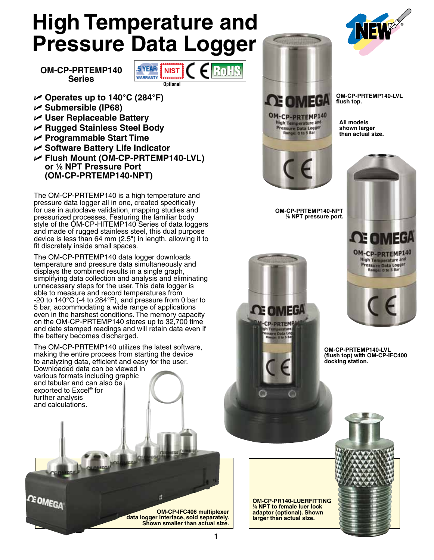# **High Temperature and Pressure Data Logger**

**OM-CP-PRTEMP140**



- U **Operates up to 140°C (284°F)**
- U **Submersible (IP68)**
- U **User Replaceable Battery**
- U **Rugged Stainless Steel Body**
- U **Programmable Start Time**
- U **Software Battery Life Indicator**
- U **Flush Mount (OM-CP-PRTEMP140-LVL) or 1 ⁄8 NPT Pressure Port (OM-CP-PRTEMP140-NPT)**

The OM-CP-PRTEMP140 is a high temperature and pressure data logger all in one, created specifically for use in autoclave validation, mapping studies and pressurized processes. Featuring the familiar body style of the OM-CP-HITEMP140 Series of data loggers and made of rugged stainless steel, this dual purpose device is less than 64 mm (2.5") in length, allowing it to fit discretely inside small spaces.

The OM-CP-PRTEMP140 data logger downloads temperature and pressure data simultaneously and displays the combined results in a single graph, simplifying data collection and analysis and eliminating unnecessary steps for the user. This data logger is able to measure and record temperatures from -20 to 140°C (-4 to 284°F), and pressure from 0 bar to 5 bar, accommodating a wide range of applications even in the harshest conditions. The memory capacity on the OM-CP-PRTEMP140 stores up to 32,700 time and date stamped readings and will retain data even if the battery becomes discharged.

The OM-CP-PRTEMP140 utilizes the latest software, making the entire process from starting the device to analyzing data, efficient and easy for the user. Downloaded data can be viewed in various formats including graphic

and tabular and can also be exported to Excel® for further analysis and calculations.

**CE OMEGA** 





**OM-CP-PRTEMP140-LVL flush top.**

**All models shown larger than actual size.**



**OM-CP-PRTEMP140-NPT 1 ⁄8 NPT pressure port.**

**ed omega** 

**OM-CP-PRTEMP140-LVL (flush top) with OM-CP-IFC400 docking station.**

**OM-CP-PR140-LUERFITTING 1 ⁄8 NPT to female luer lock adaptor (optional). Shown larger than actual size.**



**OM-CP-IFC406 multiplexer**

**data logger interface, sold separately. Shown smaller than actual size.**